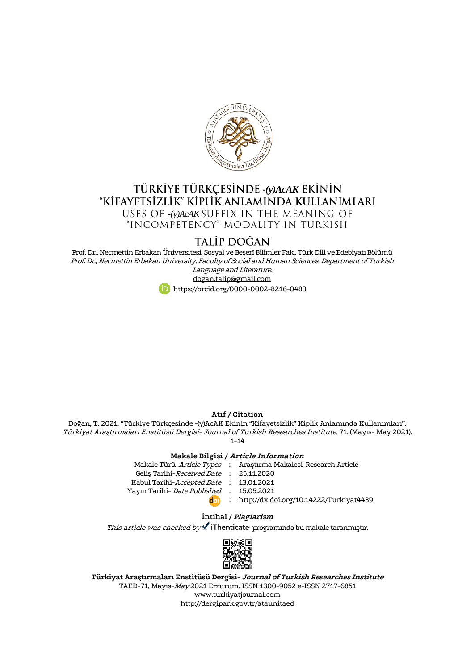

# **TÜRKİYE TÜRKÇESİNDE -(y)AcAK EKİNİN**<br>KİFAYETSİZLİK" KİPLİK ANLAMINDA KULLANIMLARI USES OF -(y)*AcAK* SUFFIX IN THE MEANING OF "INCOMPETENCY" MODALITY IN TURKISH

# **TALİP DOĞAN**

Prof. Dr., Necmettin Erbakan Üniversitesi, Sosyal ve Beşerî Bilimler Fak., Türk Dili ve Edebiyatı Bölümü Prof. Dr., Necmettin Erbakan University, Faculty of Social and Human Sciences, Department of Turkish Language and Literature.

#### [dogan.talip@gmail.com](mailto:dogan.talip@gmail.com)



## **Atıf / Citation**

Doğan, T. 2021. "Türkiye Türkçesinde -(y)AcAK Ekinin "Kifayetsizlik" Kiplik Anlamında Kullanımları". Türkiyat Araştırmaları Enstitüsü Dergisi- Journal of Turkish Researches Institute. 71, (Mayıs- May 2021).  $1 - 14$ 

#### **Makale Bilgisi / Article Information**

|                                          | Makale Türü-Article Types : Araştırma Makalesi-Research Article |
|------------------------------------------|-----------------------------------------------------------------|
| Gelis Tarihi-Received Date: 25.11.2020   |                                                                 |
| Kabul Tarihi-Accepted Date : 13.01.2021  |                                                                 |
| Yayın Tarihi- Date Published: 15.05.2021 |                                                                 |
| d <sub>1</sub>                           | : http://dx.doi.org/10.14222/Turkiyat4439                       |
|                                          |                                                                 |

#### **İntihal / Plagiarism**

This article was checked by  $\blacktriangle$  iThenticate programında bu makale taranmıştır.



**Türkiyat Araştırmaları Enstitüsü Dergisi- Journal of Turkish Researches Institute** TAED-71, Mayıs-May 2021 Erzurum. ISSN 1300-9052 e-ISSN 2717-6851 [www.turkiyatjournal.com](http://www.turkiyatjournal.com/) <http://dergipark.gov.tr/ataunitaed>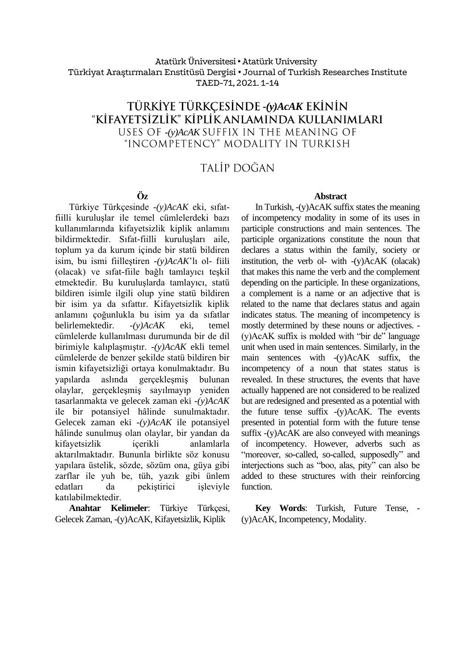# Atatürk Üniversitesi •Atatürk University Türkiyat Araştırmaları Enstitüsü Dergisi • Journal of Turkish Researches Institute TAED-71, 2021. 1-14

# **TÜRKİYE TÜRKÇESİNDE -(y)AcAK EKİNİN** "KİFAYETSİZLİK" KİPLİK ANLAMINDA KULLANIMLARI USES OF *-(y)AcAK* SUFFIX IN THE MEANING OF<br>"Incompetency" modality in turkish

# TALİP DOĞAN

# **Öz**

Türkiye Türkçesinde *-(y)AcAK* eki, sıfatfiilli kuruluşlar ile temel cümlelerdeki bazı kullanımlarında kifayetsizlik kiplik anlamını bildirmektedir. Sıfat-fiilli kuruluşları aile, toplum ya da kurum içinde bir statü bildiren isim, bu ismi fiilleştiren *-(y)AcAK*'lı ol- fiili (olacak) ve sıfat-fiile bağlı tamlayıcı teşkil etmektedir. Bu kuruluşlarda tamlayıcı, statü bildiren isimle ilgili olup yine statü bildiren bir isim ya da sıfattır. Kifayetsizlik kiplik anlamını çoğunlukla bu isim ya da sıfatlar belirlemektedir. *-(y)AcAK* eki, temel cümlelerde kullanılması durumunda bir de dil birimiyle kalıplaşmıştır. *-(y)AcAK* ekli temel cümlelerde de benzer şekilde statü bildiren bir ismin kifayetsizliği ortaya konulmaktadır. Bu yapılarda aslında gerçekleşmiş bulunan olaylar, gerçekleşmiş sayılmayıp yeniden tasarlanmakta ve gelecek zaman eki *-(y)AcAK* ile bir potansiyel hâlinde sunulmaktadır. Gelecek zaman eki *-(y)AcAK* ile potansiyel hâlinde sunulmuş olan olaylar, bir yandan da kifayetsizlik içerikli anlamlarla aktarılmaktadır. Bununla birlikte söz konusu yapılara üstelik, sözde, sözüm ona, güya gibi zarflar ile yuh be, tüh, yazık gibi ünlem da pekiştirici işleviyle katılabilmektedir.

**Anahtar Kelimeler**: Türkiye Türkçesi, Gelecek Zaman, -(y)AcAK, Kifayetsizlik, Kiplik

## **Abstract**

In Turkish, -(y)AcAK suffix states the meaning of incompetency modality in some of its uses in participle constructions and main sentences. The participle organizations constitute the noun that declares a status within the family, society or institution, the verb ol- with -(y)AcAK (olacak) that makes this name the verb and the complement depending on the participle. In these organizations, a complement is a name or an adjective that is related to the name that declares status and again indicates status. The meaning of incompetency is mostly determined by these nouns or adjectives. - (y)AcAK suffix is molded with "bir de" language unit when used in main sentences. Similarly, in the main sentences with -(y)AcAK suffix, the incompetency of a noun that states status is revealed. In these structures, the events that have actually happened are not considered to be realized but are redesigned and presented as a potential with the future tense suffix -(y)AcAK. The events presented in potential form with the future tense suffix -(y)AcAK are also conveyed with meanings of incompetency. However, adverbs such as "moreover, so-called, so-called, supposedly" and interjections such as "boo, alas, pity" can also be added to these structures with their reinforcing function.

**Key Words**: Turkish, Future Tense, - (y)AcAK, Incompetency, Modality.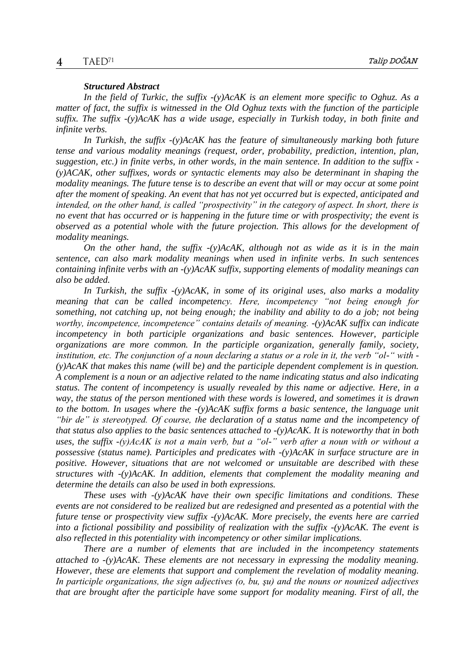#### *Structured Abstract*

*In the field of Turkic, the suffix -(y)AcAK is an element more specific to Oghuz. As a matter of fact, the suffix is witnessed in the Old Oghuz texts with the function of the participle suffix. The suffix -(y)AcAK has a wide usage, especially in Turkish today, in both finite and infinite verbs.*

*In Turkish, the suffix -(y)AcAK has the feature of simultaneously marking both future tense and various modality meanings (request, order, probability, prediction, intention, plan, suggestion, etc.) in finite verbs, in other words, in the main sentence. In addition to the suffix - (y)ACAK, other suffixes, words or syntactic elements may also be determinant in shaping the modality meanings. The future tense is to describe an event that will or may occur at some point after the moment of speaking. An event that has not yet occurred but is expected, anticipated and intended, on the other hand, is called "prospectivity" in the category of aspect. In short, there is no event that has occurred or is happening in the future time or with prospectivity; the event is observed as a potential whole with the future projection. This allows for the development of modality meanings.*

*On the other hand, the suffix -(y)AcAK, although not as wide as it is in the main sentence, can also mark modality meanings when used in infinite verbs. In such sentences containing infinite verbs with an -(y)AcAK suffix, supporting elements of modality meanings can also be added.*

*In Turkish, the suffix -(y)AcAK, in some of its original uses, also marks a modality meaning that can be called incompetency. Here, incompetency "not being enough for something, not catching up, not being enough; the inability and ability to do a job; not being worthy, incompetence, incompetence" contains details of meaning. -(y)AcAK suffix can indicate incompetency in both participle organizations and basic sentences. However, participle organizations are more common. In the participle organization, generally family, society, institution, etc. The conjunction of a noun declaring a status or a role in it, the verb "ol-" with - (y)AcAK that makes this name (will be) and the participle dependent complement is in question. A complement is a noun or an adjective related to the name indicating status and also indicating status. The content of incompetency is usually revealed by this name or adjective. Here, in a way, the status of the person mentioned with these words is lowered, and sometimes it is drawn to the bottom. In usages where the -(y)AcAK suffix forms a basic sentence, the language unit "bir de" is stereotyped. Of course, the declaration of a status name and the incompetency of that status also applies to the basic sentences attached to -(y)AcAK. It is noteworthy that in both uses, the suffix -(y)AcAK is not a main verb, but a "ol-" verb after a noun with or without a possessive (status name). Participles and predicates with -(y)AcAK in surface structure are in positive. However, situations that are not welcomed or unsuitable are described with these structures with -(y)AcAK. In addition, elements that complement the modality meaning and determine the details can also be used in both expressions.* 

*These uses with -(y)AcAK have their own specific limitations and conditions. These events are not considered to be realized but are redesigned and presented as a potential with the future tense or prospectivity view suffix -(y)AcAK. More precisely, the events here are carried into a fictional possibility and possibility of realization with the suffix -(y)AcAK. The event is also reflected in this potentiality with incompetency or other similar implications.*

*There are a number of elements that are included in the incompetency statements attached to -(y)AcAK. These elements are not necessary in expressing the modality meaning. However, these are elements that support and complement the revelation of modality meaning. In participle organizations, the sign adjectives (o, bu, şu) and the nouns or nounized adjectives that are brought after the participle have some support for modality meaning. First of all, the*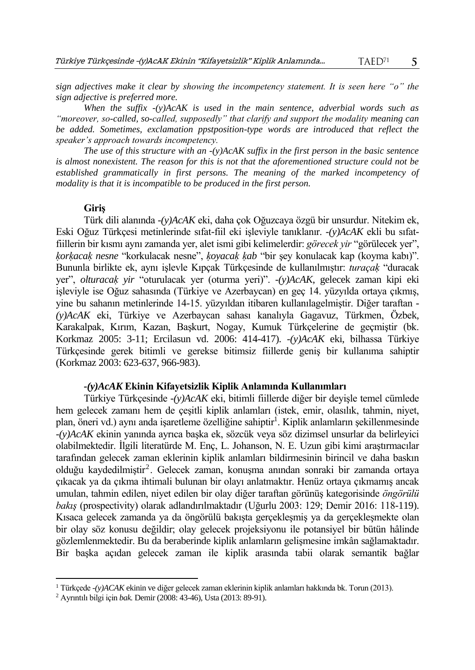$5^{\circ}$ 

 $TAFD<sup>71</sup>$ 

*sign adjectives make it clear by showing the incompetency statement. It is seen here "o" the sign adjective is preferred more.*

*When the suffix -(y)AcAK is used in the main sentence, adverbial words such as "moreover, so-called, so-called, supposedly" that clarify and support the modality meaning can be added. Sometimes, exclamation ppstposition-type words are introduced that reflect the speaker's approach towards incompetency.* 

*The use of this structure with an -(y)AcAK suffix in the first person in the basic sentence is almost nonexistent. The reason for this is not that the aforementioned structure could not be established grammatically in first persons. The meaning of the marked incompetency of modality is that it is incompatible to be produced in the first person.* 

# **Giriş**

Türk dili alanında *-(y)AcAK* eki, daha çok Oğuzcaya özgü bir unsurdur. Nitekim ek, Eski Oğuz Türkçesi metinlerinde sıfat-fiil eki işleviyle tanıklanır. *-(y)AcAK* ekli bu sıfatfiillerin bir kısmı aynı zamanda yer, alet ismi gibi kelimelerdir: *görecek yir* "görülecek yer", *ḳorḳacaḳ nesne* "korkulacak nesne", *ḳoyacaḳ ḳab* "bir şey konulacak kap (koyma kabı)". Bununla birlikte ek, aynı işlevle Kıpçak Türkçesinde de kullanılmıştır: *turaçaḳ* "duracak yer", *olturacaḳ yir* "oturulacak yer (oturma yeri)". *-(y)AcAK*, gelecek zaman kipi eki işleviyle ise Oğuz sahasında (Türkiye ve Azerbaycan) en geç 14. yüzyılda ortaya çıkmış, yine bu sahanın metinlerinde 14-15. yüzyıldan itibaren kullanılagelmiştir. Diğer taraftan *- (y)AcAK* eki, Türkiye ve Azerbaycan sahası kanalıyla Gagavuz, Türkmen, Özbek, Karakalpak, Kırım, Kazan, Başkurt, Nogay, Kumuk Türkçelerine de geçmiştir (bk. Korkmaz 2005: 3-11; Ercilasun vd. 2006: 414-417). *-(y)AcAK* eki, bilhassa Türkiye Türkçesinde gerek bitimli ve gerekse bitimsiz fiillerde geniş bir kullanıma sahiptir (Korkmaz 2003: 623-637, 966-983).

# *-(y)AcAK* **Ekinin Kifayetsizlik Kiplik Anlamında Kullanımları**

Türkiye Türkçesinde *-(y)AcAK* eki, bitimli fiillerde diğer bir deyişle temel cümlede hem gelecek zamanı hem de çeşitli kiplik anlamları (istek, emir, olasılık, tahmin, niyet, plan, öneri vd.) aynı anda işaretleme özelliğine sahiptir<sup>1</sup>. Kiplik anlamların şekillenmesinde *-(y)AcAK* ekinin yanında ayrıca başka ek, sözcük veya söz dizimsel unsurlar da belirleyici olabilmektedir. İlgili literatürde M. Enç, L. Johanson, N. E. Uzun gibi kimi araştırmacılar tarafından gelecek zaman eklerinin kiplik anlamları bildirmesinin birincil ve daha baskın olduğu kaydedilmiştir<sup>2</sup>. Gelecek zaman, konuşma anından sonraki bir zamanda ortaya çıkacak ya da çıkma ihtimali bulunan bir olayı anlatmaktır. Henüz ortaya çıkmamış ancak umulan, tahmin edilen, niyet edilen bir olay diğer taraftan görünüş kategorisinde *öngörülü bakış* (prospectivity) olarak adlandırılmaktadır (Uğurlu 2003: 129; Demir 2016: 118-119). Kısaca gelecek zamanda ya da öngörülü bakışta gerçekleşmiş ya da gerçekleşmekte olan bir olay söz konusu değildir; olay gelecek projeksiyonu ile potansiyel bir bütün hâlinde gözlemlenmektedir. Bu da beraberinde kiplik anlamların gelişmesine imkân sağlamaktadır. Bir başka açıdan gelecek zaman ile kiplik arasında tabii olarak semantik bağlar

 $\overline{a}$ 

<sup>1</sup> Türkçede *-(y)ACAK* ekinin ve diğer gelecek zaman eklerinin kiplik anlamları hakkında bk. Torun (2013).

<sup>2</sup> Ayrıntılı bilgi için *bak.* Demir (2008: 43-46), Usta (2013: 89-91).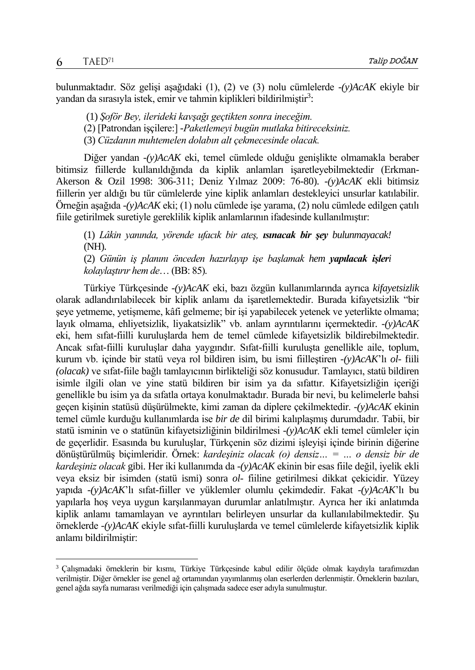$\overline{a}$ 

bulunmaktadır. Söz gelişi aşağıdaki (1), (2) ve (3) nolu cümlelerde *-(y)AcAK* ekiyle bir yandan da sırasıyla istek, emir ve tahmin kiplikleri bildirilmiştir<sup>3</sup>:

(1) *Şoför Bey, ilerideki kavşağı geçtikten sonra ineceğim.*

(3) *Cüzdanın muhtemelen dolabın alt çekmecesinde olacak.*

Diğer yandan *-(y)AcAK* eki, temel cümlede olduğu genişlikte olmamakla beraber bitimsiz fiillerde kullanıldığında da kiplik anlamları işaretleyebilmektedir (Erkman-Akerson & Ozil 1998: 306-311; Deniz Yılmaz 2009: 76-80). *-(y)AcAK* ekli bitimsiz fiillerin yer aldığı bu tür cümlelerde yine kiplik anlamları destekleyici unsurlar katılabilir. Örneğin aşağıda *-(y)AcAK* eki; (1) nolu cümlede işe yarama, (2) nolu cümlede edilgen çatılı fiile getirilmek suretiyle gereklilik kiplik anlamlarının ifadesinde kullanılmıştır:

(1) *Lâkin yanında, yörende ufacık bir ateş, ısınacak bir şey bulunmayacak!* (NH).

(2) *Günün iş planını önceden hazırlayıp işe başlamak hem yapılacak işleri kolaylaştırır hem de*… (BB: 85).

Türkiye Türkçesinde *-(y)AcAK* eki, bazı özgün kullanımlarında ayrıca *kifayetsizlik* olarak adlandırılabilecek bir kiplik anlamı da işaretlemektedir. Burada kifayetsizlik "bir şeye yetmeme, yetişmeme, kâfi gelmeme; bir işi yapabilecek yetenek ve yeterlikte olmama; layık olmama, ehliyetsizlik, liyakatsizlik" vb. anlam ayrıntılarını içermektedir. *-(y)AcAK*  eki, hem sıfat-fiilli kuruluşlarda hem de temel cümlede kifayetsizlik bildirebilmektedir. Ancak sıfat-fiilli kuruluşlar daha yaygındır. Sıfat-fiilli kuruluşta genellikle aile, toplum, kurum vb. içinde bir statü veya rol bildiren isim, bu ismi fiilleştiren *-(y)AcAK*'lı *ol-* fiili *(olacak)* ve sıfat-fiile bağlı tamlayıcının birlikteliği söz konusudur. Tamlayıcı, statü bildiren isimle ilgili olan ve yine statü bildiren bir isim ya da sıfattır. Kifayetsizliğin içeriği genellikle bu isim ya da sıfatla ortaya konulmaktadır. Burada bir nevi, bu kelimelerle bahsi geçen kişinin statüsü düşürülmekte, kimi zaman da diplere çekilmektedir. *-(y)AcAK* ekinin temel cümle kurduğu kullanımlarda ise *bir de* dil birimi kalıplaşmış durumdadır. Tabii, bir statü isminin ve o statünün kifayetsizliğinin bildirilmesi *-(y)AcAK* ekli temel cümleler için de geçerlidir. Esasında bu kuruluşlar, Türkçenin söz dizimi işleyişi içinde birinin diğerine dönüştürülmüş biçimleridir. Örnek: *kardeşiniz olacak (o) densiz… = … o densiz bir de kardeşiniz olacak* gibi. Her iki kullanımda da *-(y)AcAK* ekinin bir esas fiile değil, iyelik ekli veya eksiz bir isimden (statü ismi) sonra *ol*- fiiline getirilmesi dikkat çekicidir. Yüzey yapıda *-(y)AcAK*'lı sıfat-fiiller ve yüklemler olumlu çekimdedir. Fakat *-(y)AcAK*'lı bu yapılarla hoş veya uygun karşılanmayan durumlar anlatılmıştır. Ayrıca her iki anlatımda kiplik anlamı tamamlayan ve ayrıntıları belirleyen unsurlar da kullanılabilmektedir. Şu örneklerde *-(y)AcAK* ekiyle sıfat-fiilli kuruluşlarda ve temel cümlelerde kifayetsizlik kiplik anlamı bildirilmiştir:

<sup>(2) [</sup>Patrondan işçilere:] *-Paketlemeyi bugün mutlaka bitireceksiniz.* 

<sup>3</sup> Çalışmadaki örneklerin bir kısmı, Türkiye Türkçesinde kabul edilir ölçüde olmak kaydıyla tarafımızdan verilmiştir. Diğer örnekler ise genel ağ ortamından yayımlanmış olan eserlerden derlenmiştir. Örneklerin bazıları, genel ağda sayfa numarası verilmediği için çalışmada sadece eser adıyla sunulmuştur.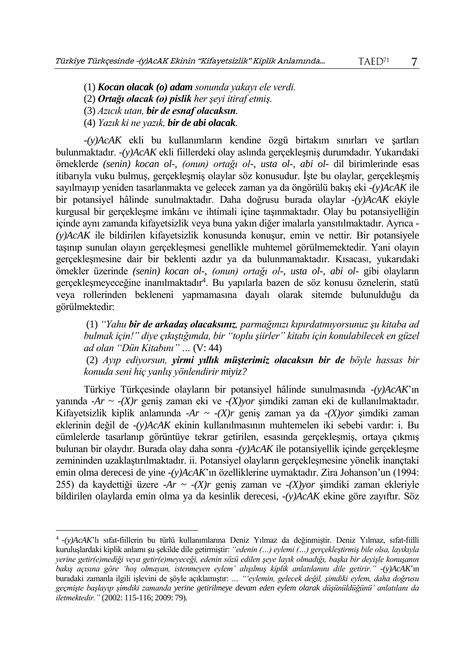(1) *Kocan olacak (o) adam sonunda yakayı ele verdi.*

- (2) *Ortağı olacak (o) pislik her şeyi itiraf etmiş.*
- (3) *Azıcık utan, bir de esnaf olacaksın.*
- (4) *Yazık ki ne yazık, bir de abi olacak.*

 $\overline{a}$ 

*-(y)AcAK* ekli bu kullanımların kendine özgü birtakım sınırları ve şartları bulunmaktadır. *-(y)AcAK* ekli fiillerdeki olay aslında gerçekleşmiş durumdadır. Yukarıdaki örneklerde *(senin) kocan ol-*, *(onun) ortağı ol-, usta ol-, abi ol-* dil birimlerinde esas itibarıyla vuku bulmuş, gerçekleşmiş olaylar söz konusudur. İşte bu olaylar, gerçekleşmiş sayılmayıp yeniden tasarlanmakta ve gelecek zaman ya da öngörülü bakış eki *-(y)AcAK* ile bir potansiyel hâlinde sunulmaktadır. Daha doğrusu burada olaylar *-(y)AcAK* ekiyle kurgusal bir gerçekleşme imkânı ve ihtimali içine taşınmaktadır. Olay bu potansiyelliğin içinde aynı zamanda kifayetsizlik veya buna yakın diğer imalarla yansıtılmaktadır. Ayrıca *- (y)AcAK* ile bildirilen kifayetsizlik konusunda konuşur, emin ve nettir. Bir potansiyele taşınıp sunulan olayın gerçekleşmesi genellikle muhtemel görülmemektedir. Yani olayın gerçekleşmesine dair bir beklenti azdır ya da bulunmamaktadır. Kısacası, yukarıdaki örnekler üzerinde *(senin) kocan ol-*, *(onun) ortağı ol-, usta ol-, abi ol-* gibi olayların gerçekleşmeyeceğine inanılmaktadır<sup>4</sup>. Bu yapılarla bazen de söz konusu öznelerin, statü veya rollerinden bekleneni yapmamasına dayalı olarak sitemde bulunulduğu da görülmektedir:

(1) *"Yahu bir de arkadaş olacaksınız, parmağınızı kıpırdatmıyorsunuz şu kitaba ad bulmak için!" diye çıkıştığımda, bir "toplu şiirler" kitabı için konulabilecek en güzel ad olan "Dün Kitabını" …* (V: 44)

(2) *Ayıp ediyorsun, yirmi yıllık müşterimiz olacaksın bir de böyle hassas bir konuda seni hiç yanlış yönlendirir miyiz?*

Türkiye Türkçesinde olayların bir potansiyel hâlinde sunulmasında *-(y)AcAK*'ın yanında *-Ar ~ -(X)r* geniş zaman eki ve *-(X)yor* şimdiki zaman eki de kullanılmaktadır. Kifayetsizlik kiplik anlamında *-Ar*  $\sim$  -(X)r genis zaman ya da -(X)vor simdiki zaman eklerinin değil de *-(y)AcAK* ekinin kullanılmasının muhtemelen iki sebebi vardır: i. Bu cümlelerde tasarlanıp görüntüye tekrar getirilen, esasında gerçekleşmiş, ortaya çıkmış bulunan bir olaydır. Burada olay daha sonra *-(y)AcAK* ile potansiyellik içinde gerçekleşme zemininden uzaklaştırılmaktadır. ii. Potansiyel olayların gerçekleşmesine yönelik inançtaki emin olma derecesi de yine *-(y)AcAK*'ın özelliklerine uymaktadır. Zira Johanson'un (1994: 255) da kaydettiği üzere *-Ar ~ -(X)r* geniş zaman ve *-(X)yor* şimdiki zaman ekleriyle bildirilen olaylarda emin olma ya da kesinlik derecesi, *-(y)AcAK* ekine göre zayıftır. Söz

<sup>4</sup> *-(y)AcAK*'lı sıfat-fiillerin bu türlü kullanımlarına Deniz Yılmaz da değinmiştir. Deniz Yılmaz, sıfat-fiilli kuruluşlardaki kiplik anlamı şu şekilde dile getirmiştir: *"edenin (…) eylemi (…) gerçekleştirmiş bile olsa, layıkıyla yerine getir(e)mediği veya getir(e)meyeceği, edenin sözü edilen şeye layık olmadığı, başka bir deyişle konuşanın bakış açısına göre 'hoş olmayan, istenmeyen eylem' alışılmış kiplik anlatılanını dile getirir." -(y)AcAK*'ın buradaki zamanla ilgili işlevini de şöyle açıklamıştır: *… "'eylemin, gelecek değil, şimdiki eylem, daha doğrusu geçmişte başlayıp şimdiki zamanda yerine getirilmeye devam eden eylem olarak düşünüldüğünü' anlatılanı da iletmektedir."* (2002: 115-116; 2009: 79).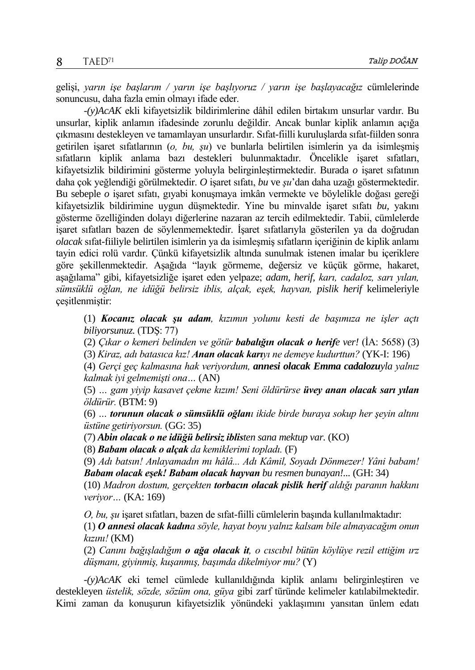gelişi, *yarın işe başlarım / yarın işe başlıyoruz / yarın işe başlayacağız* cümlelerinde sonuncusu, daha fazla emin olmayı ifade eder.

*-(y)AcAK* ekli kifayetsizlik bildirimlerine dâhil edilen birtakım unsurlar vardır. Bu unsurlar, kiplik anlamın ifadesinde zorunlu değildir. Ancak bunlar kiplik anlamın açığa çıkmasını destekleyen ve tamamlayan unsurlardır. Sıfat-fiilli kuruluşlarda sıfat-fiilden sonra getirilen işaret sıfatlarının (*o, bu, şu*) ve bunlarla belirtilen isimlerin ya da isimleşmiş sıfatların kiplik anlama bazı destekleri bulunmaktadır. Öncelikle işaret sıfatları, kifayetsizlik bildirimini gösterme yoluyla belirginleştirmektedir. Burada *o* işaret sıfatının daha çok yeğlendiği görülmektedir. *O* işaret sıfatı, *bu* ve *şu*'dan daha uzağı göstermektedir. Bu sebeple *o* işaret sıfatı, gıyabi konuşmaya imkân vermekte ve böylelikle doğası gereği kifayetsizlik bildirimine uygun düşmektedir. Yine bu minvalde işaret sıfatı *bu,* yakını gösterme özelliğinden dolayı diğerlerine nazaran az tercih edilmektedir. Tabii, cümlelerde işaret sıfatları bazen de söylenmemektedir. İşaret sıfatlarıyla gösterilen ya da doğrudan *olacak* sıfat-fiiliyle belirtilen isimlerin ya da isimleşmiş sıfatların içeriğinin de kiplik anlamı tayin edici rolü vardır. Çünkü kifayetsizlik altında sunulmak istenen imalar bu içeriklere göre şekillenmektedir. Aşağıda "layık görmeme, değersiz ve küçük görme, hakaret, aşağılama" gibi, kifayetsizliğe işaret eden yelpaze; *adam, herif, karı, cadaloz, sarı yılan, sümsüklü oğlan, ne idüğü belirsiz iblis, alçak, eşek, hayvan, pislik herif* kelimeleriyle çeşitlenmiştir:

(1) *Kocanız olacak şu adam, kızımın yolunu kesti de başımıza ne işler açtı biliyorsunuz.* (TDŞ: 77)

(2) *Çıkar o kemeri belinden ve götür babalığın olacak o herife ver!* (İA: 5658) (3)

(3) *Kiraz, adı batasıca kız! Anan olacak karıyı ne demeye kudurttun?* (YK-I: 196)

(4) *Gerçi geç kalmasına hak veriyordum, annesi olacak Emma cadalozuyla yalnız kalmak iyi gelmemişti ona…* (AN)

(5) *… gam yiyip kasavet çekme kızım! Seni öldürürse üvey anan olacak sarı yılan öldürür.* (BTM: 9)

(6) *… torunun olacak o sümsüklü oğlanı ikide birde buraya sokup her şeyin altını üstüne getiriyorsun.* (GG: 35)

(7) *Abin olacak o ne idüğü belirsiz iblisten sana mektup var.* (KO)

(8) *Babam olacak o alçak da kemiklerimi topladı.* (F)

(9) *Adı batsın! Anlayamadın mı hâlâ... Adı Kâmil, Soyadı Dönmezer! Yâni babam! Babam olacak eşek! Babam olacak hayvan bu resmen bunayan!...* (GH: 34)

(10) *Madron dostum, gerçekten torbacın olacak pislik herif aldığı paranın hakkını veriyor…* (KA: 169)

*O, bu, şu* işaret sıfatları, bazen de sıfat-fiilli cümlelerin başında kullanılmaktadır:

(1) *O annesi olacak kadına söyle, hayat boyu yalnız kalsam bile almayacağım onun kızını!* (KM)

(2) *Canını bağışladığım o ağa olacak it, o cıscıbıl bütün köylüye rezil ettiğim ırz düşmanı, giyinmiş, kuşanmış, başımda dikelmiyor mu?* (Y)

*-(y)AcAK* eki temel cümlede kullanıldığında kiplik anlamı belirginleştiren ve destekleyen *üstelik, sözde, sözüm ona, güya* gibi zarf türünde kelimeler katılabilmektedir. Kimi zaman da konuşurun kifayetsizlik yönündeki yaklaşımını yansıtan ünlem edatı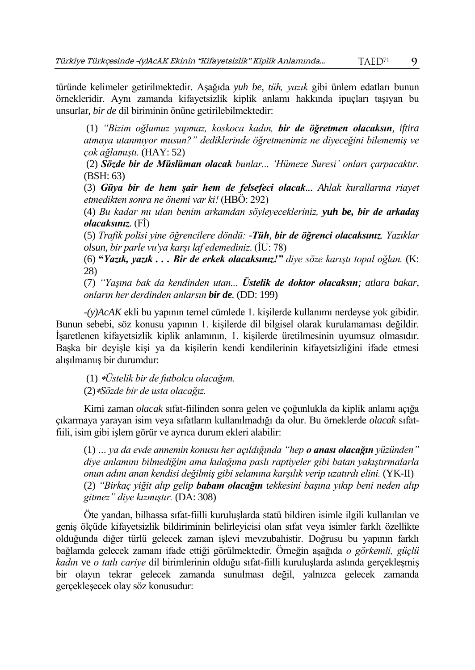türünde kelimeler getirilmektedir. Aşağıda *yuh be, tüh, yazık* gibi ünlem edatları bunun örnekleridir. Aynı zamanda kifayetsizlik kiplik anlamı hakkında ipuçları taşıyan bu unsurlar, *bir de* dil biriminin önüne getirilebilmektedir:

(1) *"Bizim oğlumuz yapmaz, koskoca kadın, bir de öğretmen olacaksın, iftira atmaya utanmıyor musun?" dediklerinde öğretmenimiz ne diyeceğini bilememiş ve çok ağlamıştı.* (HAY: 52)

(2) *Sözde bir de Müslüman olacak bunlar... 'Hümeze Suresi' onları çarpacaktır.* (BSH: 63)

(3) *Güya bir de hem şair hem de felsefeci olacak... Ahlak kurallarına riayet etmedikten sonra ne önemi var ki!* (HBÖ: 292)

(4) *Bu kadar mı ulan benim arkamdan söyleyecekleriniz, yuh be, bir de arkadaş olacaksınız.* (Fİ)

(5) *Trafik polisi yine öğrencilere döndü: -Tüh, bir de öğrenci olacaksınız. Yazıklar olsun, bir parle vu'ya karşı laf edemediniz*. (İU: 78)

(6) **"***Yazık, yazık . . . Bir de erkek olacaksınız!" diye söze karıştı topal oğlan.* (K: 28)

(7) *"Yaşına bak da kendinden utan... Üstelik de doktor olacaksın; atlara bakar, onların her derdinden anlarsın bir de.* (DD: 199)

*-(y)AcAK* ekli bu yapının temel cümlede 1. kişilerde kullanımı nerdeyse yok gibidir. Bunun sebebi, söz konusu yapının 1. kişilerde dil bilgisel olarak kurulamaması değildir. İşaretlenen kifayetsizlik kiplik anlamının, 1. kişilerde üretilmesinin uyumsuz olmasıdır. Başka bir deyişle kişi ya da kişilerin kendi kendilerinin kifayetsizliğini ifade etmesi alışılmamış bir durumdur:

(1) *Üstelik bir de futbolcu olacağım.* (2)*Sözde bir de usta olacağız.*

Kimi zaman *olacak* sıfat-fiilinden sonra gelen ve çoğunlukla da kiplik anlamı açığa çıkarmaya yarayan isim veya sıfatların kullanılmadığı da olur. Bu örneklerde *olacak* sıfatfiili, isim gibi işlem görür ve ayrıca durum ekleri alabilir:

(1) *… ya da evde annemin konusu her açıldığında "hep o anası olacağın yüzünden" diye anlamını bilmediğim ama kulağıma paslı raptiyeler gibi batan yakıştırmalarla onun adını anan kendisi değilmiş gibi selamına karşılık verip uzatırdı elini.* (YK-II) (2) *"Birkaç yiğit alıp gelip babam olacağın tekkesini başına yıkıp beni neden alıp gitmez" diye kızmıştır.* (DA: 308)

Öte yandan, bilhassa sıfat-fiilli kuruluşlarda statü bildiren isimle ilgili kullanılan ve geniş ölçüde kifayetsizlik bildiriminin belirleyicisi olan sıfat veya isimler farklı özellikte olduğunda diğer türlü gelecek zaman işlevi mevzubahistir. Doğrusu bu yapının farklı bağlamda gelecek zamanı ifade ettiği görülmektedir. Örneğin aşağıda *o görkemli, güçlü kadın* ve *o tatlı cariye* dil birimlerinin olduğu sıfat-fiilli kuruluşlarda aslında gerçekleşmiş bir olayın tekrar gelecek zamanda sunulması değil, yalnızca gelecek zamanda gerçekleşecek olay söz konusudur: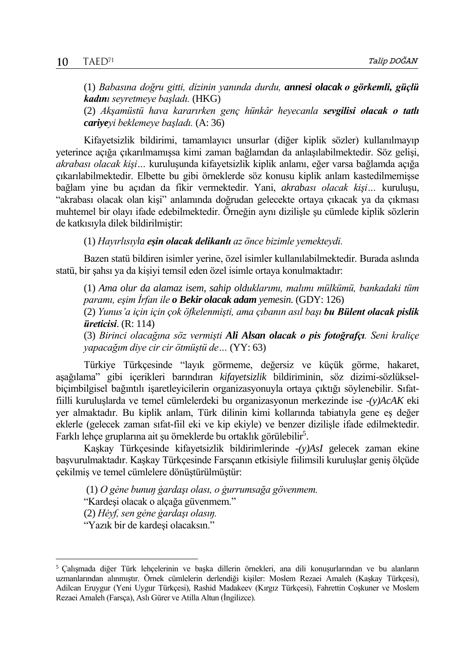(1) *Babasına doğru gitti, dizinin yanında durdu, annesi olacak o görkemli, güçlü kadını seyretmeye başladı.* (HKG) (2) *Akşamüstü hava kararırken genç hünkâr heyecanla sevgilisi olacak o tatlı cariyeyi beklemeye başladı.* (A: 36)

Kifayetsizlik bildirimi, tamamlayıcı unsurlar (diğer kiplik sözler) kullanılmayıp yeterince açığa çıkarılmamışsa kimi zaman bağlamdan da anlaşılabilmektedir. Söz gelişi, *akrabası olacak kişi…* kuruluşunda kifayetsizlik kiplik anlamı, eğer varsa bağlamda açığa çıkarılabilmektedir. Elbette bu gibi örneklerde söz konusu kiplik anlam kastedilmemişse bağlam yine bu açıdan da fikir vermektedir. Yani, *akrabası olacak kişi…* kuruluşu, "akrabası olacak olan kişi" anlamında doğrudan gelecekte ortaya çıkacak ya da çıkması muhtemel bir olayı ifade edebilmektedir. Örneğin aynı dizilişle şu cümlede kiplik sözlerin de katkısıyla dilek bildirilmiştir:

(1) *Hayırlısıyla eşin olacak delikanlı az önce bizimle yemekteydi.*

Bazen statü bildiren isimler yerine, özel isimler kullanılabilmektedir. Burada aslında statü, bir şahsı ya da kişiyi temsil eden özel isimle ortaya konulmaktadır:

(1) *Ama olur da alamaz isem, sahip olduklarımı, malımı mülkümü, bankadaki tüm paramı, eşim İrfan ile o Bekir olacak adam yemesin.* (GDY: 126)

(2) *Yunus'a için için çok öfkelenmişti, ama çıbanın asıl başı bu Bülent olacak pislik üreticisi*. (R: 114)

(3) *Birinci olacağına söz vermişti Ali Alsan olacak o pis fotoğrafçı. Seni kraliçe yapacağım diye cir cir ötmüştü de…* (YY: 63)

Türkiye Türkçesinde "layık görmeme, değersiz ve küçük görme, hakaret, aşağılama" gibi içerikleri barındıran *kifayetsizlik* bildiriminin, söz dizimi-sözlükselbiçimbilgisel bağıntılı işaretleyicilerin organizasyonuyla ortaya çıktığı söylenebilir. Sıfatfiilli kuruluşlarda ve temel cümlelerdeki bu organizasyonun merkezinde ise *-(y)AcAK* eki yer almaktadır. Bu kiplik anlam, Türk dilinin kimi kollarında tabiatıyla gene eş değer eklerle (gelecek zaman sıfat-fiil eki ve kip ekiyle) ve benzer dizilişle ifade edilmektedir. Farklı lehçe gruplarına ait şu örneklerde bu ortaklık görülebilir<sup>5</sup>.

Kaşkay Türkçesinde kifayetsizlik bildirimlerinde *-(y)AsI* gelecek zaman ekine başvurulmaktadır. Kaşkay Türkçesinde Farsçanın etkisiyle fiilimsili kuruluşlar geniş ölçüde çekilmiş ve temel cümlelere dönüştürülmüştür:

(1) *O gėne bunuŋ ġardaşı olası, o ġurrumsağa gövenmem.*

"Kardeşi olacak o alçağa güvenmem."

(2) *Hėyf, sen gėne ġardaşı olasıŋ.* 

"Yazık bir de kardeşi olacaksın."

 $\overline{a}$ 

<sup>5</sup> Çalışmada diğer Türk lehçelerinin ve başka dillerin örnekleri, ana dili konuşurlarından ve bu alanların uzmanlarından alınmıştır. Örnek cümlelerin derlendiği kişiler: Moslem Rezaei Amaleh (Kaşkay Türkçesi), Adilcan Eruygur (Yeni Uygur Türkçesi), Rashid Madakeev (Kırgız Türkçesi), Fahrettin Coşkuner ve Moslem Rezaei Amaleh (Farsça), Aslı Gürer ve Atilla Altun (İngilizce).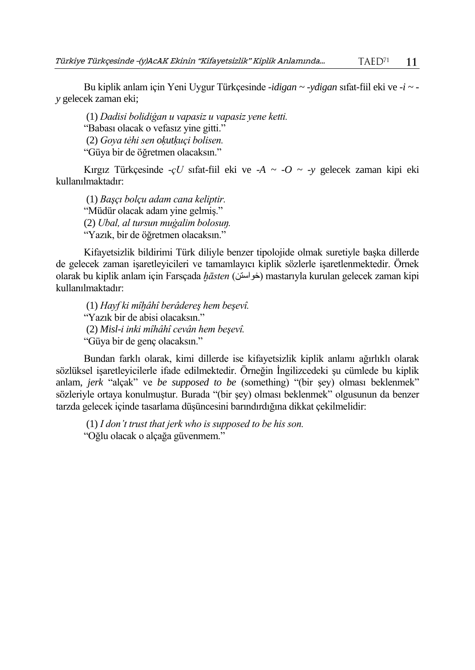Bu kiplik anlam için Yeni Uygur Türkçesinde *-idigan ~ -ydigan* sıfat-fiil eki ve *-i ~ y* gelecek zaman eki;

(1) *Dadisi bolidiġan u vapasiz u vapasiz yene ketti.* "Babası olacak o vefasız yine gitti." (2) *Goya tėhi sen oḳutḳuçi bolisen.* "Güya bir de öğretmen olacaksın."

Kırgız Türkçesinde -*çU* sıfat-fiil eki ve *-A ~ -O ~ -y* gelecek zaman kipi eki kullanılmaktadır:

(1) *Başçı bolçu adam cana keliptir.* "Müdür olacak adam yine gelmiş." (2) *Ubal, al tursun muġalim bolosuŋ.* "Yazık, bir de öğretmen olacaksın."

Kifayetsizlik bildirimi Türk diliyle benzer tipolojide olmak suretiyle başka dillerde de gelecek zaman işaretleyicileri ve tamamlayıcı kiplik sözlerle işaretlenmektedir. Örnek olarak bu kiplik anlam için Farsçada *ḫāsten* (خواستن (mastarıyla kurulan gelecek zaman kipi kullanılmaktadır:

(1) *Hayf ki mîḫâhî berâdereş hem beşevî.* "Yazık bir de abisi olacaksın." (2) *Misl-i inki mîhâhî cevân hem beşevî.* "Güya bir de genç olacaksın."

Bundan farklı olarak, kimi dillerde ise kifayetsizlik kiplik anlamı ağırlıklı olarak sözlüksel işaretleyicilerle ifade edilmektedir. Örneğin İngilizcedeki şu cümlede bu kiplik anlam, *jerk* "alçak" ve *be supposed to be* (something) "(bir şey) olması beklenmek" sözleriyle ortaya konulmuştur. Burada "(bir şey) olması beklenmek" olgusunun da benzer tarzda gelecek içinde tasarlama düşüncesini barındırdığına dikkat çekilmelidir:

(1) *I don't trust that jerk who is supposed to be his son.* "Oğlu olacak o alçağa güvenmem."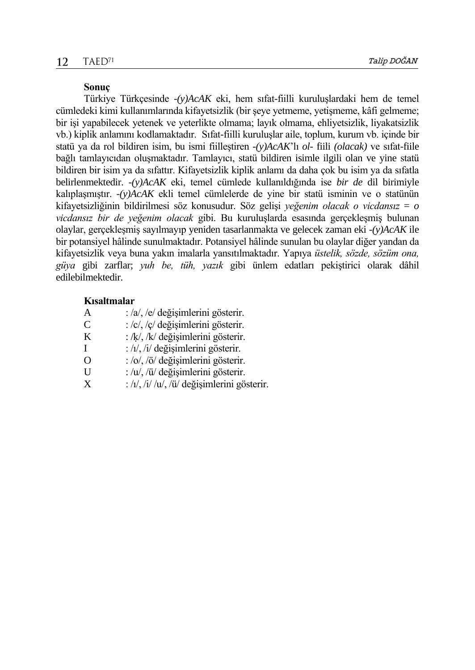#### **Sonuç**

Türkiye Türkçesinde *-(y)AcAK* eki, hem sıfat-fiilli kuruluşlardaki hem de temel cümledeki kimi kullanımlarında kifayetsizlik (bir şeye yetmeme, yetişmeme, kâfi gelmeme; bir işi yapabilecek yetenek ve yeterlikte olmama; layık olmama, ehliyetsizlik, liyakatsizlik vb.) kiplik anlamını kodlamaktadır. Sıfat-fiilli kuruluşlar aile, toplum, kurum vb. içinde bir statü ya da rol bildiren isim, bu ismi fiilleştiren *-(y)AcAK*'lı *ol-* fiili *(olacak)* ve sıfat-fiile bağlı tamlayıcıdan oluşmaktadır. Tamlayıcı, statü bildiren isimle ilgili olan ve yine statü bildiren bir isim ya da sıfattır. Kifayetsizlik kiplik anlamı da daha çok bu isim ya da sıfatla belirlenmektedir. *-(y)AcAK* eki, temel cümlede kullanıldığında ise *bir de* dil birimiyle kalıplaşmıştır. *-(y)AcAK* ekli temel cümlelerde de yine bir statü isminin ve o statünün kifayetsizliğinin bildirilmesi söz konusudur. Söz gelişi *yeğenim olacak o vicdansız* = *o vicdansız bir de yeğenim olacak* gibi. Bu kuruluşlarda esasında gerçekleşmiş bulunan olaylar, gerçekleşmiş sayılmayıp yeniden tasarlanmakta ve gelecek zaman eki *-(y)AcAK* ile bir potansiyel hâlinde sunulmaktadır. Potansiyel hâlinde sunulan bu olaylar diğer yandan da kifayetsizlik veya buna yakın imalarla yansıtılmaktadır. Yapıya *üstelik, sözde, sözüm ona, güya* gibi zarflar; *yuh be, tüh, yazık* gibi ünlem edatları pekiştirici olarak dâhil edilebilmektedir.

# **Kısaltmalar**

- A : /a/, /e/ değişimlerini gösterir.
- $C$  :  $\frac{\partial c}{\partial y}$  :  $\frac{\partial c}{\partial z}$  değişimlerini gösterir.
- K :  $/k/$ ,  $/k/$  değişimlerini gösterir.
- $I : /_1/$ , /i/ değişimlerini gösterir.
- O  $:$   $\frac{\partial}{\partial \theta}$   $\frac{\partial}{\partial \theta}$  değişimlerini gösterir.
- U :  $\sqrt{u}$ ,  $\sqrt{u}$  değişimlerini gösterir.<br>X :  $\sqrt{u}$ ,  $\sqrt{u}$ ,  $\sqrt{u}$ ,  $\sqrt{u}$  değisimlerini gö
- $\frac{1}{\sqrt{1}}$  / $\frac{1}{\sqrt{1}}$  / $\frac{1}{\sqrt{1}}$  / $\frac{1}{\sqrt{1}}$  / $\frac{1}{\sqrt{1}}$  / $\frac{1}{\sqrt{1}}$  / $\frac{1}{\sqrt{1}}$  / $\frac{1}{\sqrt{1}}$  / $\frac{1}{\sqrt{1}}$  / $\frac{1}{\sqrt{1}}$  / $\frac{1}{\sqrt{1}}$  / $\frac{1}{\sqrt{1}}$  / $\frac{1}{\sqrt{1}}$  / $\frac{1}{\sqrt{1}}$  / $\frac{1}{\sqrt{1}}$  / $\frac{1}{\sqrt{1}}$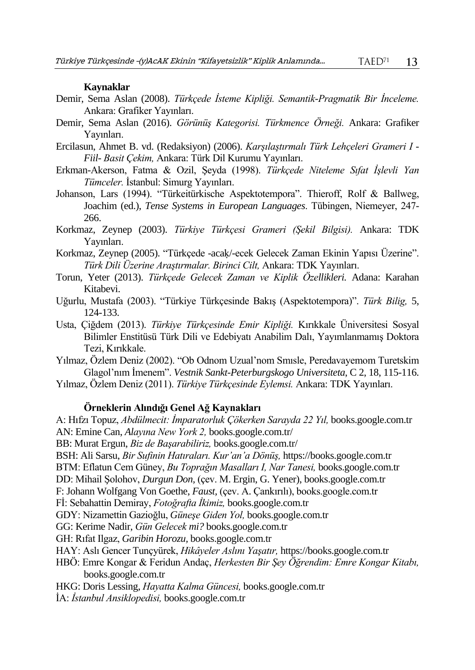# **Kaynaklar**

- Demir, Sema Aslan (2008). *Türkçede İsteme Kipliği. Semantik-Pragmatik Bir İnceleme.*  Ankara: Grafiker Yayınları.
- Demir, Sema Aslan (2016). *Görünüş Kategorisi. Türkmence Örneği.* Ankara: Grafiker Yayınları.
- Ercilasun, Ahmet B. vd. (Redaksiyon) (2006). *Karşılaştırmalı Türk Lehçeleri Grameri I - Fiil- Basit Çekim,* Ankara: Türk Dil Kurumu Yayınları.
- Erkman-Akerson, Fatma & Ozil, Şeyda (1998). *Türkçede Niteleme Sıfat İşlevli Yan Tümceler.* İstanbul: Simurg Yayınları.
- Johanson, Lars (1994). "Türkeitürkische Aspektotempora". Thieroff, Rolf & Ballweg, Joachim (ed.), *Tense Systems in European Languages*. Tübingen, Niemeyer, 247- 266.
- Korkmaz, Zeynep (2003). *Türkiye Türkçesi Grameri (Şekil Bilgisi).* Ankara: TDK Yayınları.
- Korkmaz, Zeynep (2005). "Türkçede -acaḳ/-ecek Gelecek Zaman Ekinin Yapısı Üzerine". *Türk Dili Üzerine Araştırmalar. Birinci Cilt,* Ankara: TDK Yayınları.
- Torun, Yeter (2013). *Türkçede Gelecek Zaman ve Kiplik Özellikleri.* Adana: Karahan Kitabevi.
- Uğurlu, Mustafa (2003). "Türkiye Türkçesinde Bakış (Aspektotempora)". *Türk Bilig,* 5, 124-133.
- Usta, Çiğdem (2013). *Türkiye Türkçesinde Emir Kipliği.* Kırıkkale Üniversitesi Sosyal Bilimler Enstitüsü Türk Dili ve Edebiyatı Anabilim Dalı, Yayımlanmamış Doktora Tezi, Kırıkkale.
- Yılmaz, Özlem Deniz (2002). "Ob Odnom Uzual'nom Smısle, Peredavayemom Turetskim Glagol'nım İmenem". *Vestnik Sankt-Peterburgskogo Universiteta*, C 2, 18, 115-116.
- Yılmaz, Özlem Deniz (2011). *Türkiye Türkçesinde Eylemsi.* Ankara: TDK Yayınları.

#### **Örneklerin Alındığı Genel Ağ Kaynakları**

A: Hıfzı Topuz, *Abdülmecit: İmparatorluk Çökerken Sarayda 22 Yıl,* books.google.com.tr AN: Emine Can, *Alayına New York 2,* books.google.com.tr/

BB: Murat Ergun, *Biz de Başarabiliriz,* books.google.com.tr/

BSH: Ali Sarsu, *Bir Sufinin Hatıraları. Kur'an'a Dönüş,* https://books.google.com.tr

BTM: Eflatun Cem Güney, *Bu Toprağın Masalları I, Nar Tanesi,* books.google.com.tr

DD: Mihail Şolohov, *Durgun Don,* (çev. M. Ergin, G. Yener), books.google.com.tr

F: Johann Wolfgang Von Goethe, *Faust,* (çev. A. Çankırılı), books.google.com.tr

Fİ: Sebahattin Demiray, *Fotoğrafta İkimiz,* books.google.com.tr

GDY: Nizamettin Gazioğlu, *Güneşe Giden Yol,* books.google.com.tr

GG: Kerime Nadir, *Gün Gelecek mi?* books.google.com.tr

GH: Rıfat Ilgaz, *Garibin Horozu,* books.google.com.tr

- HAY: Aslı Gencer Tunçyürek, *Hikâyeler Aslını Yaşatır,* https://books.google.com.tr
- HBÖ: Emre Kongar & Feridun Andaç, *Herkesten Bir Şey Öğrendim: Emre Kongar Kitabı,* books.google.com.tr
- HKG: Doris Lessing, *Hayatta Kalma Güncesi,* books.google.com.tr

İA: *İstanbul Ansiklopedisi,* books.google.com.tr